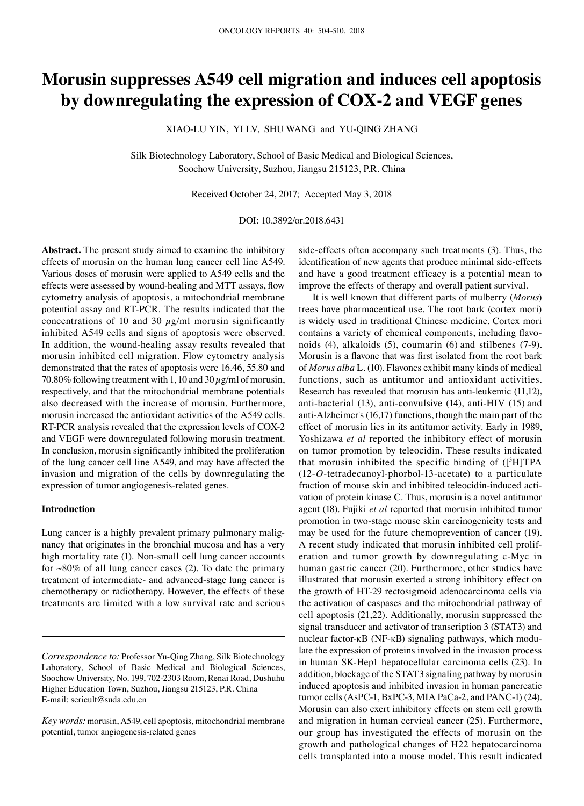# **Morusin suppresses A549 cell migration and induces cell apoptosis by downregulating the expression of COX‑2 and VEGF genes**

XIAO-LU YIN, YI LV, SHU WANG and YU-QING ZHANG

Silk Biotechnology Laboratory, School of Basic Medical and Biological Sciences, Soochow University, Suzhou, Jiangsu 215123, P.R. China

Received October 24, 2017; Accepted May 3, 2018

## DOI: 10.3892/or.2018.6431

**Abstract.** The present study aimed to examine the inhibitory effects of morusin on the human lung cancer cell line A549. Various doses of morusin were applied to A549 cells and the effects were assessed by wound‑healing and MTT assays, flow cytometry analysis of apoptosis, a mitochondrial membrane potential assay and RT-PCR. The results indicated that the concentrations of 10 and 30  $\mu$ g/ml morusin significantly inhibited A549 cells and signs of apoptosis were observed. In addition, the wound-healing assay results revealed that morusin inhibited cell migration. Flow cytometry analysis demonstrated that the rates of apoptosis were 16.46, 55.80 and 70.80% following treatment with 1, 10 and 30  $\mu$ g/ml of morusin, respectively, and that the mitochondrial membrane potentials also decreased with the increase of morusin. Furthermore, morusin increased the antioxidant activities of the A549 cells. RT-PCR analysis revealed that the expression levels of COX-2 and VEGF were downregulated following morusin treatment. In conclusion, morusin significantly inhibited the proliferation of the lung cancer cell line A549, and may have affected the invasion and migration of the cells by downregulating the expression of tumor angiogenesis-related genes.

## **Introduction**

Lung cancer is a highly prevalent primary pulmonary malignancy that originates in the bronchial mucosa and has a very high mortality rate (1). Non-small cell lung cancer accounts for  $\sim 80\%$  of all lung cancer cases (2). To date the primary treatment of intermediate- and advanced-stage lung cancer is chemotherapy or radiotherapy. However, the effects of these treatments are limited with a low survival rate and serious

side-effects often accompany such treatments (3). Thus, the identification of new agents that produce minimal side-effects and have a good treatment efficacy is a potential mean to improve the effects of therapy and overall patient survival.

It is well known that different parts of mulberry (*Morus*) trees have pharmaceutical use. The root bark (cortex mori) is widely used in traditional Chinese medicine. Cortex mori contains a variety of chemical components, including flavonoids (4), alkaloids (5), coumarin (6) and stilbenes (7-9). Morusin is a flavone that was first isolated from the root bark of *Morus alba* L. (10). Flavones exhibit many kinds of medical functions, such as antitumor and antioxidant activities. Research has revealed that morusin has anti-leukemic (11,12), anti-bacterial (13), anti-convulsive (14), anti-HIV (15) and anti-Alzheimer's (16,17) functions, though the main part of the effect of morusin lies in its antitumor activity. Early in 1989, Yoshizawa *et al* reported the inhibitory effect of morusin on tumor promotion by teleocidin. These results indicated that morusin inhibited the specific binding of  $($ [ $3$ H]TPA (12-*O*-tetradecanoyl-phorbol-13-acetate) to a particulate fraction of mouse skin and inhibited teleocidin-induced activation of protein kinase C. Thus, morusin is a novel antitumor agent (18). Fujiki *et al* reported that morusin inhibited tumor promotion in two-stage mouse skin carcinogenicity tests and may be used for the future chemoprevention of cancer (19). A recent study indicated that morusin inhibited cell proliferation and tumor growth by downregulating c-Myc in human gastric cancer (20). Furthermore, other studies have illustrated that morusin exerted a strong inhibitory effect on the growth of HT-29 rectosigmoid adenocarcinoma cells via the activation of caspases and the mitochondrial pathway of cell apoptosis (21,22). Additionally, morusin suppressed the signal transducer and activator of transcription 3 (STAT3) and nuclear factor-κB (NF-κB) signaling pathways, which modulate the expression of proteins involved in the invasion process in human SK-Hep1 hepatocellular carcinoma cells (23). In addition, blockage of the STAT3 signaling pathway by morusin induced apoptosis and inhibited invasion in human pancreatic tumor cells (AsPC-1, BxPC-3, MIA PaCa-2, and PANC-1) (24). Morusin can also exert inhibitory effects on stem cell growth and migration in human cervical cancer (25). Furthermore, our group has investigated the effects of morusin on the growth and pathological changes of H22 hepatocarcinoma cells transplanted into a mouse model. This result indicated

*Correspondence to:* Professor Yu-Qing Zhang, Silk Biotechnology Laboratory, School of Basic Medical and Biological Sciences, Soochow University, No. 199, 702-2303 Room, Renai Road, Dushuhu Higher Education Town, Suzhou, Jiangsu 215123, P.R. China E-mail: sericult@suda.edu.cn

*Key words:* morusin, A549, cell apoptosis, mitochondrial membrane potential, tumor angiogenesis-related genes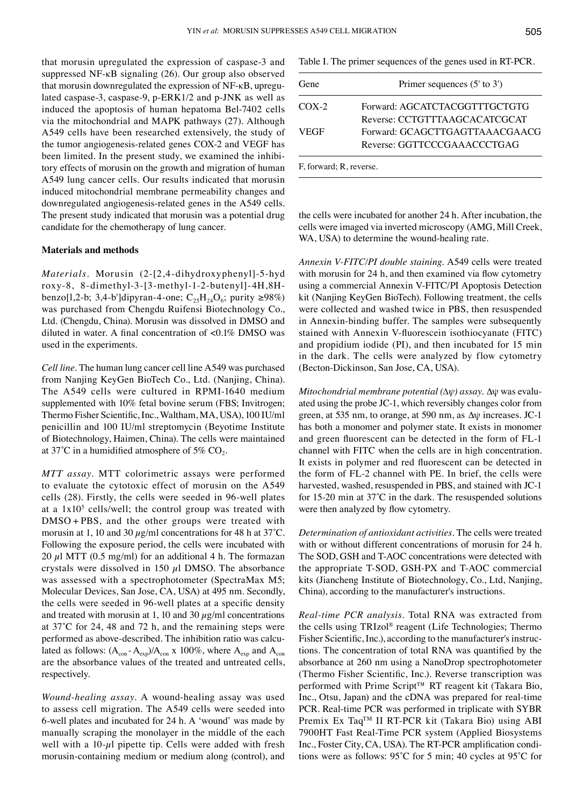that morusin upregulated the expression of caspase-3 and suppressed NF-κB signaling (26). Our group also observed that morusin downregulated the expression of NF-κB, upregulated caspase-3, caspase-9, p-ERK1/2 and p-JNK as well as induced the apoptosis of human hepatoma Bel-7402 cells via the mitochondrial and MAPK pathways (27). Although A549 cells have been researched extensively, the study of the tumor angiogenesis-related genes COX-2 and VEGF has been limited. In the present study, we examined the inhibitory effects of morusin on the growth and migration of human A549 lung cancer cells. Our results indicated that morusin induced mitochondrial membrane permeability changes and downregulated angiogenesis-related genes in the A549 cells. The present study indicated that morusin was a potential drug candidate for the chemotherapy of lung cancer.

## **Materials and methods**

*Materials.* Morusin (2-[2,4-dihydroxyphenyl]-5-hyd roxy-8, 8-dimethyl-3-[3-methyl-1-2-butenyl]-4H,8Hbenzo[1,2-b; 3,4-b']dipyran-4-one; C<sub>25</sub>H<sub>24</sub>O<sub>6</sub>; purity ≥98%) was purchased from Chengdu Ruifensi Biotechnology Co., Ltd. (Chengdu, China). Morusin was dissolved in DMSO and diluted in water. A final concentration of <0.1% DMSO was used in the experiments.

*Cell line.* The human lung cancer cell line A549 was purchased from Nanjing KeyGen BioTech Co., Ltd. (Nanjing, China). The A549 cells were cultured in RPMI-1640 medium supplemented with 10% fetal bovine serum (FBS; Invitrogen; Thermo Fisher Scientific, Inc., Waltham, MA, USA), 100 IU/ml penicillin and 100 IU/ml streptomycin (Beyotime Institute of Biotechnology, Haimen, China). The cells were maintained at 37°C in a humidified atmosphere of 5%  $CO<sub>2</sub>$ .

*MTT assay.* MTT colorimetric assays were performed to evaluate the cytotoxic effect of morusin on the A549 cells (28). Firstly, the cells were seeded in 96-well plates at a  $1x10<sup>5</sup>$  cells/well; the control group was treated with DMSO + PBS, and the other groups were treated with morusin at 1, 10 and 30  $\mu$ g/ml concentrations for 48 h at 37°C. Following the exposure period, the cells were incubated with 20  $\mu$ l MTT (0.5 mg/ml) for an additional 4 h. The formazan crystals were dissolved in 150  $\mu$ l DMSO. The absorbance was assessed with a spectrophotometer (SpectraMax M5; Molecular Devices, San Jose, CA, USA) at 495 nm. Secondly, the cells were seeded in 96‑well plates at a specific density and treated with morusin at 1, 10 and 30  $\mu$ g/ml concentrations at 37˚C for 24, 48 and 72 h, and the remaining steps were performed as above-described. The inhibition ratio was calculated as follows:  $(A_{con} - A_{exp})/A_{con}$  x 100%, where  $A_{exp}$  and  $A_{con}$ are the absorbance values of the treated and untreated cells, respectively.

*Wound‑healing assay.* A wound-healing assay was used to assess cell migration. The A549 cells were seeded into 6-well plates and incubated for 24 h. A 'wound' was made by manually scraping the monolayer in the middle of the each well with a  $10-\mu l$  pipette tip. Cells were added with fresh morusin-containing medium or medium along (control), and Table I. The primer sequences of the genes used in RT-PCR.

| Gene                    | Primer sequences $(5' \text{ to } 3')$ |
|-------------------------|----------------------------------------|
| $COX-2$                 | Forward: AGCATCTACGGTTTGCTGTG          |
|                         | Reverse: CCTGTTTAAGCACATCGCAT          |
| <b>VEGF</b>             | Forward: GCAGCTTGAGTTAAACGAACG         |
|                         | Reverse: GGTTCCCGAAACCCTGAG            |
| F. forward: R. reverse. |                                        |

the cells were incubated for another 24 h. After incubation, the cells were imaged via inverted microscopy (AMG, Mill Creek, WA, USA) to determine the wound-healing rate.

*Annexin V‑FITC/PI double staining.* A549 cells were treated with morusin for 24 h, and then examined via flow cytometry using a commercial Annexin V-FITC/PI Apoptosis Detection kit (Nanjing KeyGen BioTech). Following treatment, the cells were collected and washed twice in PBS, then resuspended in Annexin-binding buffer. The samples were subsequently stained with Annexin V‑fluorescein isothiocyanate (FITC) and propidium iodide (PI), and then incubated for 15 min in the dark. The cells were analyzed by flow cytometry (Becton-Dickinson, San Jose, CA, USA).

*Mitochondrial membrane potential (*∆*ψ) assay.* ∆ψ was evaluated using the probe JC-1, which reversibly changes color from green, at 535 nm, to orange, at 590 nm, as ∆ψ increases. JC-1 has both a monomer and polymer state. It exists in monomer and green fluorescent can be detected in the form of FL‑1 channel with FITC when the cells are in high concentration. It exists in polymer and red fluorescent can be detected in the form of FL-2 channel with PE. In brief, the cells were harvested, washed, resuspended in PBS, and stained with JC-1 for 15‑20 min at 37˚C in the dark. The resuspended solutions were then analyzed by flow cytometry.

*Determination of antioxidant activities.* The cells were treated with or without different concentrations of morusin for 24 h. The SOD, GSH and T-AOC concentrations were detected with the appropriate T-SOD, GSH-PX and T-AOC commercial kits (Jiancheng Institute of Biotechnology, Co., Ltd, Nanjing, China), according to the manufacturer's instructions.

*Real‑time PCR analysis.* Total RNA was extracted from the cells using TRIzol® reagent (Life Technologies; Thermo Fisher Scientific, Inc.), according to the manufacturer's instructions. The concentration of total RNA was quantified by the absorbance at 260 nm using a NanoDrop spectrophotometer (Thermo Fisher Scientific, Inc.). Reverse transcription was performed with Prime Script™ RT reagent kit (Takara Bio, Inc., Otsu, Japan) and the cDNA was prepared for real-time PCR. Real-time PCR was performed in triplicate with SYBR Premix Ex TaqTM II RT-PCR kit (Takara Bio) using ABI 7900HT Fast Real-Time PCR system (Applied Biosystems Inc., Foster City, CA, USA). The RT‑PCR amplification conditions were as follows: 95˚C for 5 min; 40 cycles at 95˚C for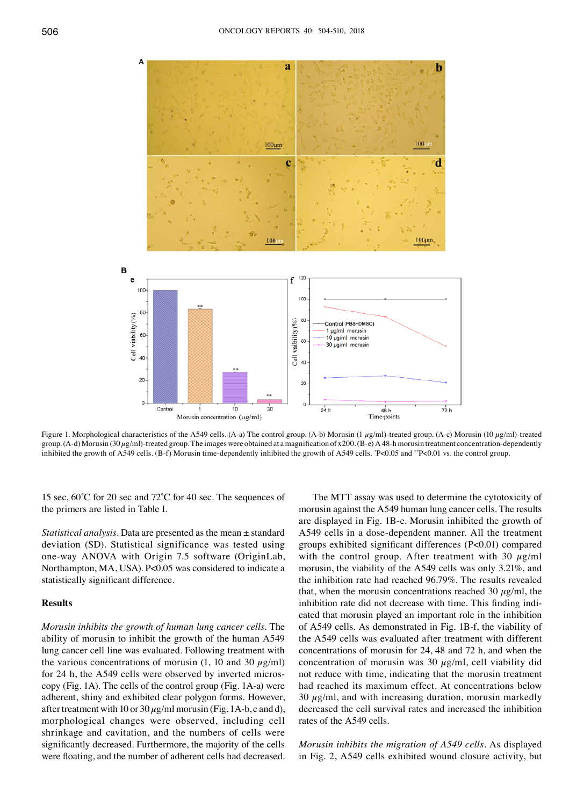

Figure 1. Morphological characteristics of the A549 cells. (A-a) The control group. (A-b) Morusin (1 µg/ml)-treated group. (A-c) Morusin (10 µg/ml)-treated group. (A-d) Morusin (30  $\mu$ g/ml)-treated group. The images were obtained at a magnification of x200. (B-e) A 48-h morusin treatment concentration-dependently inhibited the growth of A549 cells. (B-f) Morusin time-dependently inhibited the growth of A549 cells. \* P<0.05 and \*\*P<0.01 vs. the control group.

15 sec, 60˚C for 20 sec and 72˚C for 40 sec. The sequences of the primers are listed in Table I.

*Statistical analysis.* Data are presented as the mean ± standard deviation (SD). Statistical significance was tested using one-way ANOVA with Origin 7.5 software (OriginLab, Northampton, MA, USA). P<0.05 was considered to indicate a statistically significant difference.

# **Results**

*Morusin inhibits the growth of human lung cancer cells.* The ability of morusin to inhibit the growth of the human A549 lung cancer cell line was evaluated. Following treatment with the various concentrations of morusin (1, 10 and 30  $\mu$ g/ml) for 24 h, the A549 cells were observed by inverted microscopy (Fig. 1A). The cells of the control group (Fig. 1A-a) were adherent, shiny and exhibited clear polygon forms. However, after treatment with 10 or  $30 \mu g/ml$  morusin (Fig. 1A-b, c and d), morphological changes were observed, including cell shrinkage and cavitation, and the numbers of cells were significantly decreased. Furthermore, the majority of the cells were floating, and the number of adherent cells had decreased.

The MTT assay was used to determine the cytotoxicity of morusin against the A549 human lung cancer cells. The results are displayed in Fig. 1B-e. Morusin inhibited the growth of A549 cells in a dose-dependent manner. All the treatment groups exhibited significant differences (P<0.01) compared with the control group. After treatment with 30  $\mu$ g/ml morusin, the viability of the A549 cells was only 3.21%, and the inhibition rate had reached 96.79%. The results revealed that, when the morusin concentrations reached 30  $\mu$ g/ml, the inhibition rate did not decrease with time. This finding indicated that morusin played an important role in the inhibition of A549 cells. As demonstrated in Fig. 1B-f, the viability of the A549 cells was evaluated after treatment with different concentrations of morusin for 24, 48 and 72 h, and when the concentration of morusin was 30  $\mu$ g/ml, cell viability did not reduce with time, indicating that the morusin treatment had reached its maximum effect. At concentrations below 30  $\mu$ g/ml, and with increasing duration, morusin markedly decreased the cell survival rates and increased the inhibition rates of the A549 cells.

*Morusin inhibits the migration of A549 cells.* As displayed in Fig. 2, A549 cells exhibited wound closure activity, but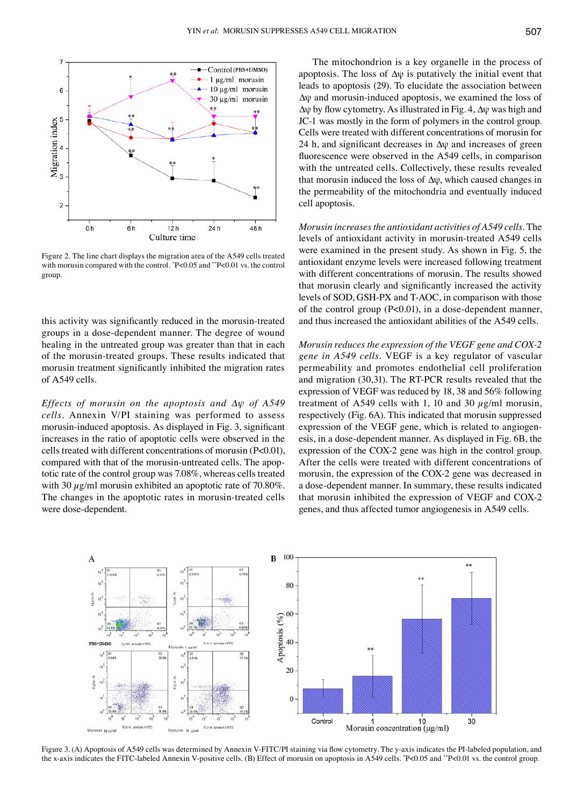

Figure 2. The line chart displays the migration area of the A549 cells treated with morusin compared with the control. \* P<0.05 and \*\*P<0.01 vs. the control group.

this activity was significantly reduced in the morusin‑treated groups in a dose-dependent manner. The degree of wound healing in the untreated group was greater than that in each of the morusin-treated groups. These results indicated that morusin treatment significantly inhibited the migration rates of A549 cells.

*Effects of morusin on the apoptosis and ∆ψ of A549 cells.* Annexin V/PI staining was performed to assess morusin-induced apoptosis. As displayed in Fig. 3, significant increases in the ratio of apoptotic cells were observed in the cells treated with different concentrations of morusin (P<0.01), compared with that of the morusin-untreated cells. The apoptotic rate of the control group was 7.08%, whereas cells treated with 30  $\mu$ g/ml morusin exhibited an apoptotic rate of 70.80%. The changes in the apoptotic rates in morusin-treated cells were dose-dependent.

The mitochondrion is a key organelle in the process of apoptosis. The loss of  $\Delta \psi$  is putatively the initial event that leads to apoptosis (29). To elucidate the association between ∆ψ and morusin-induced apoptosis, we examined the loss of ∆ψ by flow cytometry. As illustrated in Fig. 4, ∆ψ was high and JC-1 was mostly in the form of polymers in the control group. Cells were treated with different concentrations of morusin for 24 h, and significant decreases in ∆ψ and increases of green fluorescence were observed in the A549 cells, in comparison with the untreated cells. Collectively, these results revealed that morusin induced the loss of ∆ψ, which caused changes in the permeability of the mitochondria and eventually induced cell apoptosis.

*Morusin increases the antioxidant activities of A549 cells.* The levels of antioxidant activity in morusin-treated A549 cells were examined in the present study. As shown in Fig. 5, the antioxidant enzyme levels were increased following treatment with different concentrations of morusin. The results showed that morusin clearly and significantly increased the activity levels of SOD, GSH-PX and T-AOC, in comparison with those of the control group  $(P<0.01)$ , in a dose-dependent manner, and thus increased the antioxidant abilities of the A549 cells.

*Morusin reduces the expression of the VEGF gene and COX‑2 gene in A549 cells.* VEGF is a key regulator of vascular permeability and promotes endothelial cell proliferation and migration (30,31). The RT-PCR results revealed that the expression of VEGF was reduced by 18, 38 and 56% following treatment of A549 cells with 1, 10 and 30  $\mu$ g/ml morusin, respectively (Fig. 6A). This indicated that morusin suppressed expression of the VEGF gene, which is related to angiogenesis, in a dose-dependent manner. As displayed in Fig. 6B, the expression of the COX-2 gene was high in the control group. After the cells were treated with different concentrations of morusin, the expression of the COX-2 gene was decreased in a dose-dependent manner. In summary, these results indicated that morusin inhibited the expression of VEGF and COX-2 genes, and thus affected tumor angiogenesis in A549 cells.



Figure 3. (A) Apoptosis of A549 cells was determined by Annexin V-FITC/PI staining via flow cytometry. The y-axis indicates the PI-labeled population, and the x-axis indicates the FITC-labeled Annexin V-positive cells. (B) Effect of morusin on apoptosis in A549 cells. \* P<0.05 and \*\*P<0.01 vs. the control group.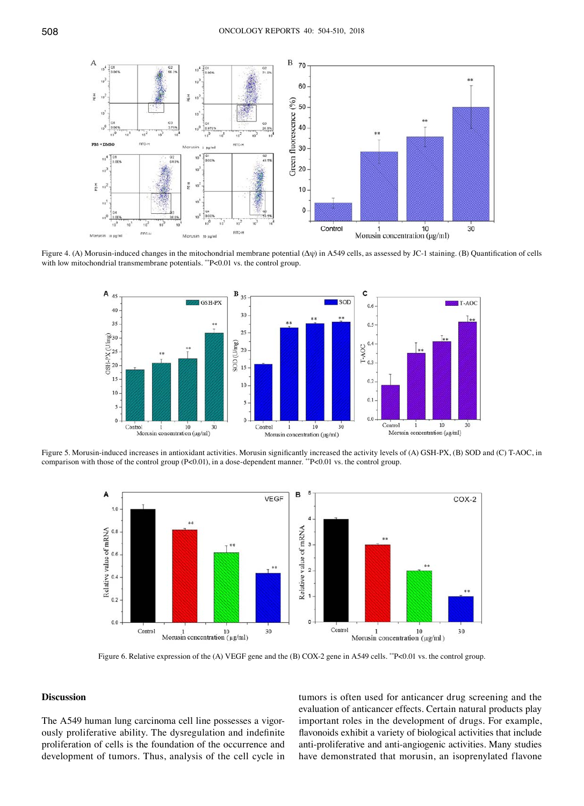

Figure 4. (A) Morusin‑induced changes in the mitochondrial membrane potential (Δψ) in A549 cells, as assessed by JC‑1 staining. (B) Quantification of cells with low mitochondrial transmembrane potentials. \*\*P<0.01 vs. the control group.



Figure 5. Morusin-induced increases in antioxidant activities. Morusin significantly increased the activity levels of (A) GSH-PX, (B) SOD and (C) T-AOC, in comparison with those of the control group (P<0.01), in a dose-dependent manner. \*\*P<0.01 vs. the control group.



Figure 6. Relative expression of the (A) VEGF gene and the (B) COX-2 gene in A549 cells. \*\*P<0.01 vs. the control group.

## **Discussion**

The A549 human lung carcinoma cell line possesses a vigorously proliferative ability. The dysregulation and indefinite proliferation of cells is the foundation of the occurrence and development of tumors. Thus, analysis of the cell cycle in tumors is often used for anticancer drug screening and the evaluation of anticancer effects. Certain natural products play important roles in the development of drugs. For example, flavonoids exhibit a variety of biological activities that include anti-proliferative and anti-angiogenic activities. Many studies have demonstrated that morusin, an isoprenylated flavone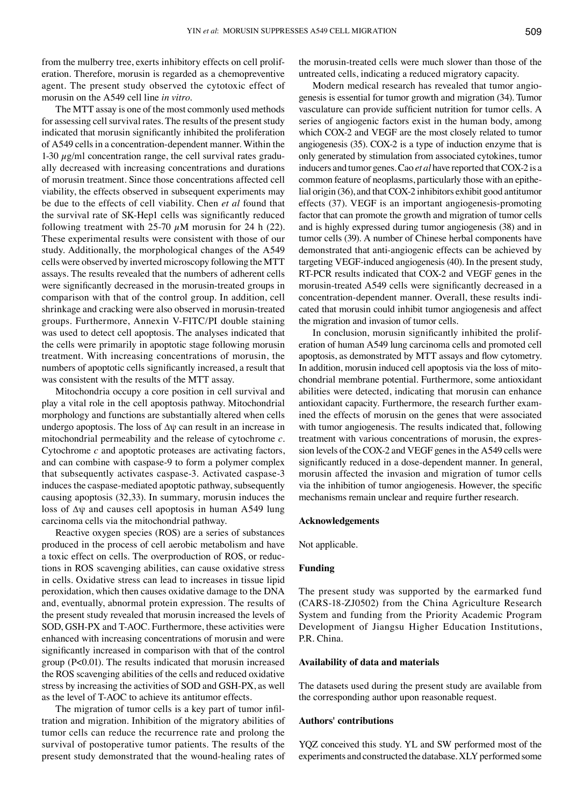from the mulberry tree, exerts inhibitory effects on cell proliferation. Therefore, morusin is regarded as a chemopreventive agent. The present study observed the cytotoxic effect of morusin on the A549 cell line *in vitro*.

The MTT assay is one of the most commonly used methods for assessing cell survival rates. The results of the present study indicated that morusin significantly inhibited the proliferation of A549 cells in a concentration-dependent manner. Within the 1-30  $\mu$ g/ml concentration range, the cell survival rates gradually decreased with increasing concentrations and durations of morusin treatment. Since those concentrations affected cell viability, the effects observed in subsequent experiments may be due to the effects of cell viability. Chen *et al* found that the survival rate of SK‑Hep1 cells was significantly reduced following treatment with 25-70  $\mu$ M morusin for 24 h (22). These experimental results were consistent with those of our study. Additionally, the morphological changes of the A549 cells were observed by inverted microscopy following the MTT assays. The results revealed that the numbers of adherent cells were significantly decreased in the morusin-treated groups in comparison with that of the control group. In addition, cell shrinkage and cracking were also observed in morusin-treated groups. Furthermore, Annexin V-FITC/PI double staining was used to detect cell apoptosis. The analyses indicated that the cells were primarily in apoptotic stage following morusin treatment. With increasing concentrations of morusin, the numbers of apoptotic cells significantly increased, a result that was consistent with the results of the MTT assay.

Mitochondria occupy a core position in cell survival and play a vital role in the cell apoptosis pathway. Mitochondrial morphology and functions are substantially altered when cells undergo apoptosis. The loss of ∆ψ can result in an increase in mitochondrial permeability and the release of cytochrome *c.*  Cytochrome *c* and apoptotic proteases are activating factors, and can combine with caspase-9 to form a polymer complex that subsequently activates caspase-3. Activated caspase-3 induces the caspase-mediated apoptotic pathway, subsequently causing apoptosis (32,33). In summary, morusin induces the loss of ∆ψ and causes cell apoptosis in human A549 lung carcinoma cells via the mitochondrial pathway.

Reactive oxygen species (ROS) are a series of substances produced in the process of cell aerobic metabolism and have a toxic effect on cells. The overproduction of ROS, or reductions in ROS scavenging abilities, can cause oxidative stress in cells. Oxidative stress can lead to increases in tissue lipid peroxidation, which then causes oxidative damage to the DNA and, eventually, abnormal protein expression. The results of the present study revealed that morusin increased the levels of SOD, GSH-PX and T-AOC. Furthermore, these activities were enhanced with increasing concentrations of morusin and were significantly increased in comparison with that of the control group (P<0.01). The results indicated that morusin increased the ROS scavenging abilities of the cells and reduced oxidative stress by increasing the activities of SOD and GSH-PX, as well as the level of T-AOC to achieve its antitumor effects.

The migration of tumor cells is a key part of tumor infiltration and migration. Inhibition of the migratory abilities of tumor cells can reduce the recurrence rate and prolong the survival of postoperative tumor patients. The results of the present study demonstrated that the wound-healing rates of the morusin-treated cells were much slower than those of the untreated cells, indicating a reduced migratory capacity.

Modern medical research has revealed that tumor angiogenesis is essential for tumor growth and migration (34). Tumor vasculature can provide sufficient nutrition for tumor cells. A series of angiogenic factors exist in the human body, among which COX-2 and VEGF are the most closely related to tumor angiogenesis (35). COX-2 is a type of induction enzyme that is only generated by stimulation from associated cytokines, tumor inducers and tumor genes. Cao *et al* have reported that COX-2 is a common feature of neoplasms, particularly those with an epithelial origin (36), and that COX-2 inhibitors exhibit good antitumor effects (37). VEGF is an important angiogenesis-promoting factor that can promote the growth and migration of tumor cells and is highly expressed during tumor angiogenesis (38) and in tumor cells (39). A number of Chinese herbal components have demonstrated that anti-angiogenic effects can be achieved by targeting VEGF-induced angiogenesis (40). In the present study, RT-PCR results indicated that COX-2 and VEGF genes in the morusin‑treated A549 cells were significantly decreased in a concentration-dependent manner. Overall, these results indicated that morusin could inhibit tumor angiogenesis and affect the migration and invasion of tumor cells.

In conclusion, morusin significantly inhibited the proliferation of human A549 lung carcinoma cells and promoted cell apoptosis, as demonstrated by MTT assays and flow cytometry. In addition, morusin induced cell apoptosis via the loss of mitochondrial membrane potential. Furthermore, some antioxidant abilities were detected, indicating that morusin can enhance antioxidant capacity. Furthermore, the research further examined the effects of morusin on the genes that were associated with tumor angiogenesis. The results indicated that, following treatment with various concentrations of morusin, the expression levels of the COX-2 and VEGF genes in the A549 cells were significantly reduced in a dose-dependent manner. In general, morusin affected the invasion and migration of tumor cells via the inhibition of tumor angiogenesis. However, the specific mechanisms remain unclear and require further research.

## **Acknowledgements**

Not applicable.

# **Funding**

The present study was supported by the earmarked fund (CARS-18-ZJ0502) from the China Agriculture Research System and funding from the Priority Academic Program Development of Jiangsu Higher Education Institutions, P.R. China.

#### **Availability of data and materials**

The datasets used during the present study are available from the corresponding author upon reasonable request.

### **Authors' contributions**

YQZ conceived this study. YL and SW performed most of the experiments and constructed the database. XLY performed some